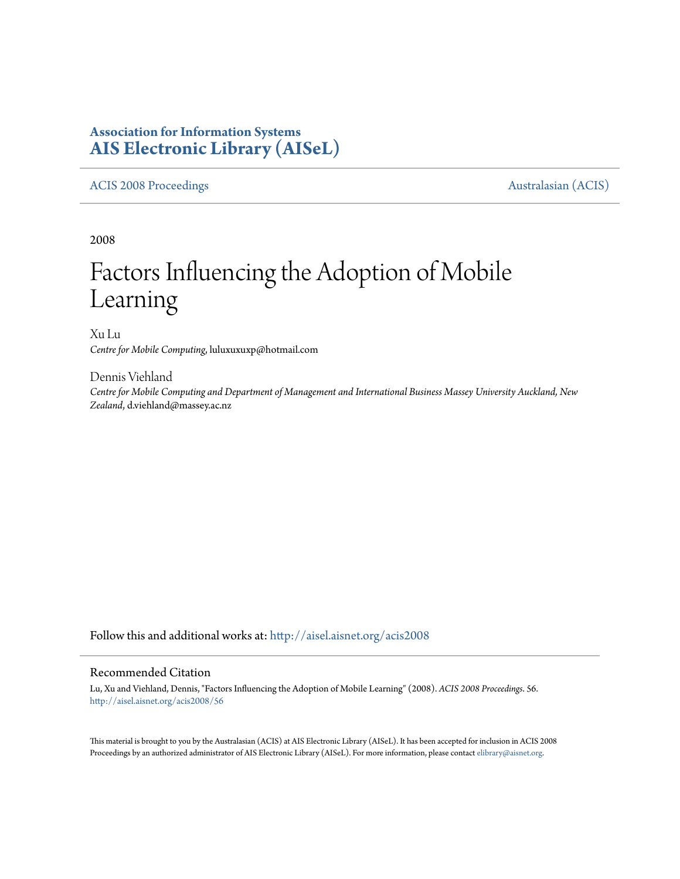# **Association for Information Systems [AIS Electronic Library \(AISeL\)](http://aisel.aisnet.org?utm_source=aisel.aisnet.org%2Facis2008%2F56&utm_medium=PDF&utm_campaign=PDFCoverPages)**

# [ACIS 2008 Proceedings](http://aisel.aisnet.org/acis2008?utm_source=aisel.aisnet.org%2Facis2008%2F56&utm_medium=PDF&utm_campaign=PDFCoverPages) **Australasian** (ACIS)

2008

# Factors Influencing the Adoption of Mobile Learning

Xu Lu *Centre for Mobile Computing*, luluxuxuxp@hotmail.com

Dennis Viehland *Centre for Mobile Computing and Department of Management and International Business Massey University Auckland, New Zealand*, d.viehland@massey.ac.nz

Follow this and additional works at: [http://aisel.aisnet.org/acis2008](http://aisel.aisnet.org/acis2008?utm_source=aisel.aisnet.org%2Facis2008%2F56&utm_medium=PDF&utm_campaign=PDFCoverPages)

#### Recommended Citation

Lu, Xu and Viehland, Dennis, "Factors Influencing the Adoption of Mobile Learning" (2008). *ACIS 2008 Proceedings*. 56. [http://aisel.aisnet.org/acis2008/56](http://aisel.aisnet.org/acis2008/56?utm_source=aisel.aisnet.org%2Facis2008%2F56&utm_medium=PDF&utm_campaign=PDFCoverPages)

This material is brought to you by the Australasian (ACIS) at AIS Electronic Library (AISeL). It has been accepted for inclusion in ACIS 2008 Proceedings by an authorized administrator of AIS Electronic Library (AISeL). For more information, please contact [elibrary@aisnet.org](mailto:elibrary@aisnet.org%3E).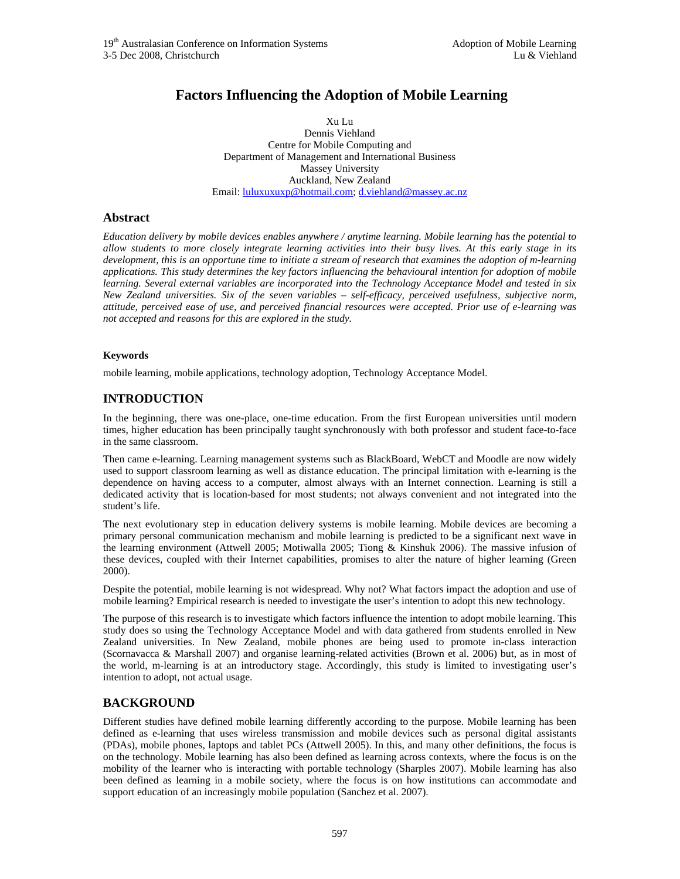# **Factors Influencing the Adoption of Mobile Learning**

Xu Lu Dennis Viehland Centre for Mobile Computing and Department of Management and International Business Massey University Auckland, New Zealand Email: luluxuxuxp@hotmail.com; d.viehland@massey.ac.nz

#### **Abstract**

*Education delivery by mobile devices enables anywhere / anytime learning. Mobile learning has the potential to allow students to more closely integrate learning activities into their busy lives. At this early stage in its development, this is an opportune time to initiate a stream of research that examines the adoption of m-learning applications. This study determines the key factors influencing the behavioural intention for adoption of mobile learning. Several external variables are incorporated into the Technology Acceptance Model and tested in six New Zealand universities. Six of the seven variables – self-efficacy, perceived usefulness, subjective norm, attitude, perceived ease of use, and perceived financial resources were accepted. Prior use of e-learning was not accepted and reasons for this are explored in the study.* 

#### **Keywords**

mobile learning, mobile applications, technology adoption, Technology Acceptance Model.

### **INTRODUCTION**

In the beginning, there was one-place, one-time education. From the first European universities until modern times, higher education has been principally taught synchronously with both professor and student face-to-face in the same classroom.

Then came e-learning. Learning management systems such as BlackBoard, WebCT and Moodle are now widely used to support classroom learning as well as distance education. The principal limitation with e-learning is the dependence on having access to a computer, almost always with an Internet connection. Learning is still a dedicated activity that is location-based for most students; not always convenient and not integrated into the student's life.

The next evolutionary step in education delivery systems is mobile learning. Mobile devices are becoming a primary personal communication mechanism and mobile learning is predicted to be a significant next wave in the learning environment (Attwell 2005; Motiwalla 2005; Tiong & Kinshuk 2006). The massive infusion of these devices, coupled with their Internet capabilities, promises to alter the nature of higher learning (Green 2000).

Despite the potential, mobile learning is not widespread. Why not? What factors impact the adoption and use of mobile learning? Empirical research is needed to investigate the user's intention to adopt this new technology.

The purpose of this research is to investigate which factors influence the intention to adopt mobile learning. This study does so using the Technology Acceptance Model and with data gathered from students enrolled in New Zealand universities. In New Zealand, mobile phones are being used to promote in-class interaction (Scornavacca & Marshall 2007) and organise learning-related activities (Brown et al. 2006) but, as in most of the world, m-learning is at an introductory stage. Accordingly, this study is limited to investigating user's intention to adopt, not actual usage.

#### **BACKGROUND**

Different studies have defined mobile learning differently according to the purpose. Mobile learning has been defined as e-learning that uses wireless transmission and mobile devices such as personal digital assistants (PDAs), mobile phones, laptops and tablet PCs (Attwell 2005). In this, and many other definitions, the focus is on the technology. Mobile learning has also been defined as learning across contexts, where the focus is on the mobility of the learner who is interacting with portable technology (Sharples 2007). Mobile learning has also been defined as learning in a mobile society, where the focus is on how institutions can accommodate and support education of an increasingly mobile population (Sanchez et al. 2007).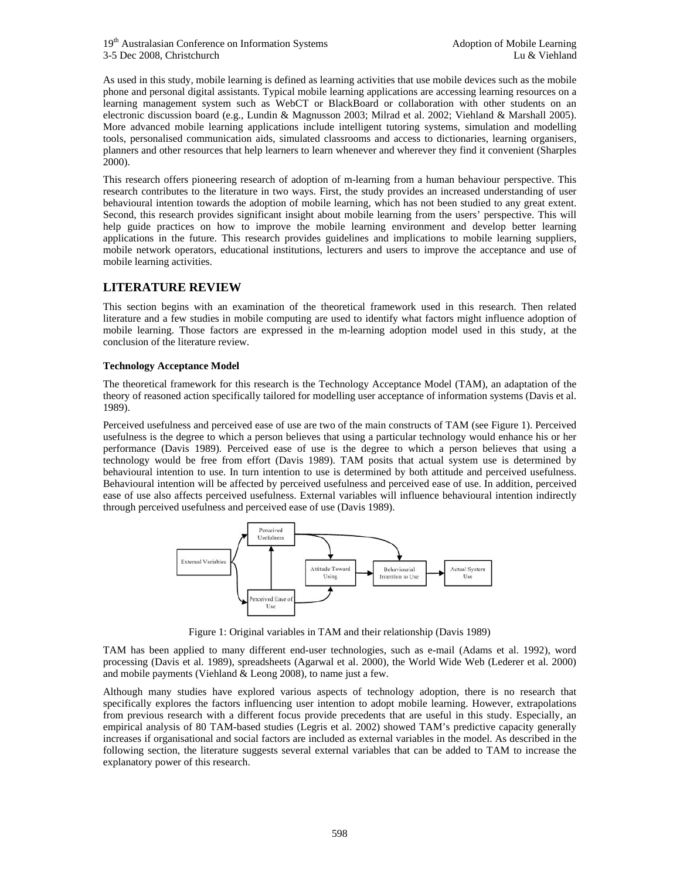19<sup>th</sup> Australasian Conference on Information Systems **Adoption** Adoption of Mobile Learning 3-5 Dec 2008, Christchurch Lu & Viehland

As used in this study, mobile learning is defined as learning activities that use mobile devices such as the mobile phone and personal digital assistants. Typical mobile learning applications are accessing learning resources on a learning management system such as WebCT or BlackBoard or collaboration with other students on an electronic discussion board (e.g., Lundin & Magnusson 2003; Milrad et al. 2002; Viehland & Marshall 2005). More advanced mobile learning applications include intelligent tutoring systems, simulation and modelling tools, personalised communication aids, simulated classrooms and access to dictionaries, learning organisers, planners and other resources that help learners to learn whenever and wherever they find it convenient (Sharples 2000).

This research offers pioneering research of adoption of m-learning from a human behaviour perspective. This research contributes to the literature in two ways. First, the study provides an increased understanding of user behavioural intention towards the adoption of mobile learning, which has not been studied to any great extent. Second, this research provides significant insight about mobile learning from the users' perspective. This will help guide practices on how to improve the mobile learning environment and develop better learning applications in the future. This research provides guidelines and implications to mobile learning suppliers, mobile network operators, educational institutions, lecturers and users to improve the acceptance and use of mobile learning activities.

## **LITERATURE REVIEW**

This section begins with an examination of the theoretical framework used in this research. Then related literature and a few studies in mobile computing are used to identify what factors might influence adoption of mobile learning. Those factors are expressed in the m-learning adoption model used in this study, at the conclusion of the literature review.

#### **Technology Acceptance Model**

The theoretical framework for this research is the Technology Acceptance Model (TAM), an adaptation of the theory of reasoned action specifically tailored for modelling user acceptance of information systems (Davis et al. 1989).

Perceived usefulness and perceived ease of use are two of the main constructs of TAM (see Figure 1). Perceived usefulness is the degree to which a person believes that using a particular technology would enhance his or her performance (Davis 1989). Perceived ease of use is the degree to which a person believes that using a technology would be free from effort (Davis 1989). TAM posits that actual system use is determined by behavioural intention to use. In turn intention to use is determined by both attitude and perceived usefulness. Behavioural intention will be affected by perceived usefulness and perceived ease of use. In addition, perceived ease of use also affects perceived usefulness. External variables will influence behavioural intention indirectly through perceived usefulness and perceived ease of use (Davis 1989).



Figure 1: Original variables in TAM and their relationship (Davis 1989)

TAM has been applied to many different end-user technologies, such as e-mail (Adams et al. 1992), word processing (Davis et al. 1989), spreadsheets (Agarwal et al. 2000), the World Wide Web (Lederer et al. 2000) and mobile payments (Viehland  $\&$  Leong 2008), to name just a few.

Although many studies have explored various aspects of technology adoption, there is no research that specifically explores the factors influencing user intention to adopt mobile learning. However, extrapolations from previous research with a different focus provide precedents that are useful in this study. Especially, an empirical analysis of 80 TAM-based studies (Legris et al. 2002) showed TAM's predictive capacity generally increases if organisational and social factors are included as external variables in the model. As described in the following section, the literature suggests several external variables that can be added to TAM to increase the explanatory power of this research.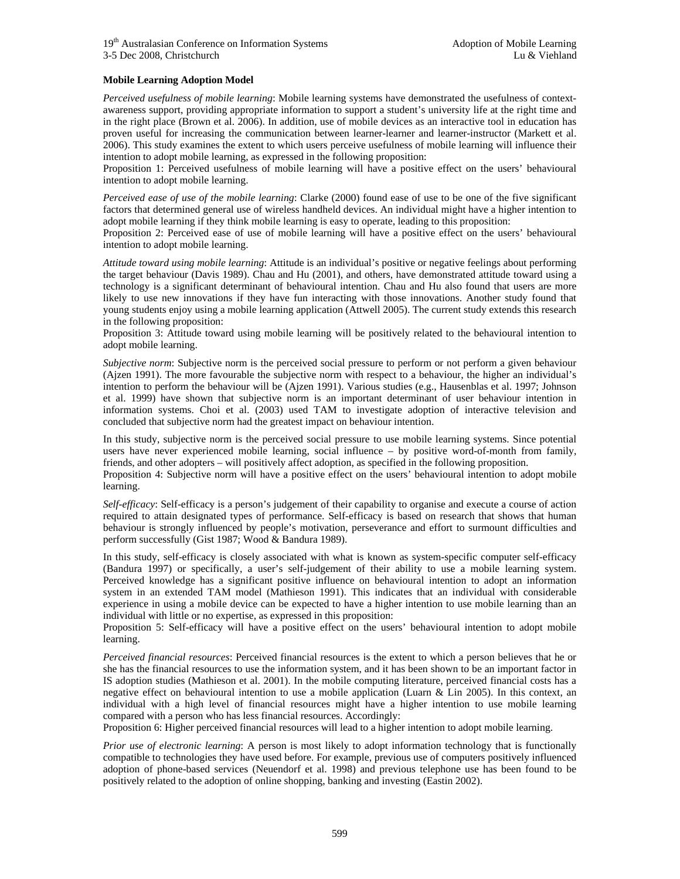#### **Mobile Learning Adoption Model**

*Perceived usefulness of mobile learning*: Mobile learning systems have demonstrated the usefulness of contextawareness support, providing appropriate information to support a student's university life at the right time and in the right place (Brown et al. 2006). In addition, use of mobile devices as an interactive tool in education has proven useful for increasing the communication between learner-learner and learner-instructor (Markett et al. 2006). This study examines the extent to which users perceive usefulness of mobile learning will influence their intention to adopt mobile learning, as expressed in the following proposition:

Proposition 1: Perceived usefulness of mobile learning will have a positive effect on the users' behavioural intention to adopt mobile learning.

*Perceived ease of use of the mobile learning*: Clarke (2000) found ease of use to be one of the five significant factors that determined general use of wireless handheld devices. An individual might have a higher intention to adopt mobile learning if they think mobile learning is easy to operate, leading to this proposition:

Proposition 2: Perceived ease of use of mobile learning will have a positive effect on the users' behavioural intention to adopt mobile learning.

*Attitude toward using mobile learning*: Attitude is an individual's positive or negative feelings about performing the target behaviour (Davis 1989). Chau and Hu (2001), and others, have demonstrated attitude toward using a technology is a significant determinant of behavioural intention. Chau and Hu also found that users are more likely to use new innovations if they have fun interacting with those innovations. Another study found that young students enjoy using a mobile learning application (Attwell 2005). The current study extends this research in the following proposition:

Proposition 3: Attitude toward using mobile learning will be positively related to the behavioural intention to adopt mobile learning.

*Subjective norm*: Subjective norm is the perceived social pressure to perform or not perform a given behaviour (Ajzen 1991). The more favourable the subjective norm with respect to a behaviour, the higher an individual's intention to perform the behaviour will be (Ajzen 1991). Various studies (e.g., Hausenblas et al. 1997; Johnson et al. 1999) have shown that subjective norm is an important determinant of user behaviour intention in information systems. Choi et al. (2003) used TAM to investigate adoption of interactive television and concluded that subjective norm had the greatest impact on behaviour intention.

In this study, subjective norm is the perceived social pressure to use mobile learning systems. Since potential users have never experienced mobile learning, social influence – by positive word-of-month from family, friends, and other adopters – will positively affect adoption, as specified in the following proposition.

Proposition 4: Subjective norm will have a positive effect on the users' behavioural intention to adopt mobile learning.

*Self-efficacy*: Self-efficacy is a person's judgement of their capability to organise and execute a course of action required to attain designated types of performance. Self-efficacy is based on research that shows that human behaviour is strongly influenced by people's motivation, perseverance and effort to surmount difficulties and perform successfully (Gist 1987; Wood & Bandura 1989).

In this study, self-efficacy is closely associated with what is known as system-specific computer self-efficacy (Bandura 1997) or specifically, a user's self-judgement of their ability to use a mobile learning system. Perceived knowledge has a significant positive influence on behavioural intention to adopt an information system in an extended TAM model (Mathieson 1991). This indicates that an individual with considerable experience in using a mobile device can be expected to have a higher intention to use mobile learning than an individual with little or no expertise, as expressed in this proposition:

Proposition 5: Self-efficacy will have a positive effect on the users' behavioural intention to adopt mobile learning.

*Perceived financial resources*: Perceived financial resources is the extent to which a person believes that he or she has the financial resources to use the information system, and it has been shown to be an important factor in IS adoption studies (Mathieson et al. 2001). In the mobile computing literature, perceived financial costs has a negative effect on behavioural intention to use a mobile application (Luarn & Lin 2005). In this context, an individual with a high level of financial resources might have a higher intention to use mobile learning compared with a person who has less financial resources. Accordingly:

Proposition 6: Higher perceived financial resources will lead to a higher intention to adopt mobile learning.

*Prior use of electronic learning*: A person is most likely to adopt information technology that is functionally compatible to technologies they have used before. For example, previous use of computers positively influenced adoption of phone-based services (Neuendorf et al. 1998) and previous telephone use has been found to be positively related to the adoption of online shopping, banking and investing (Eastin 2002).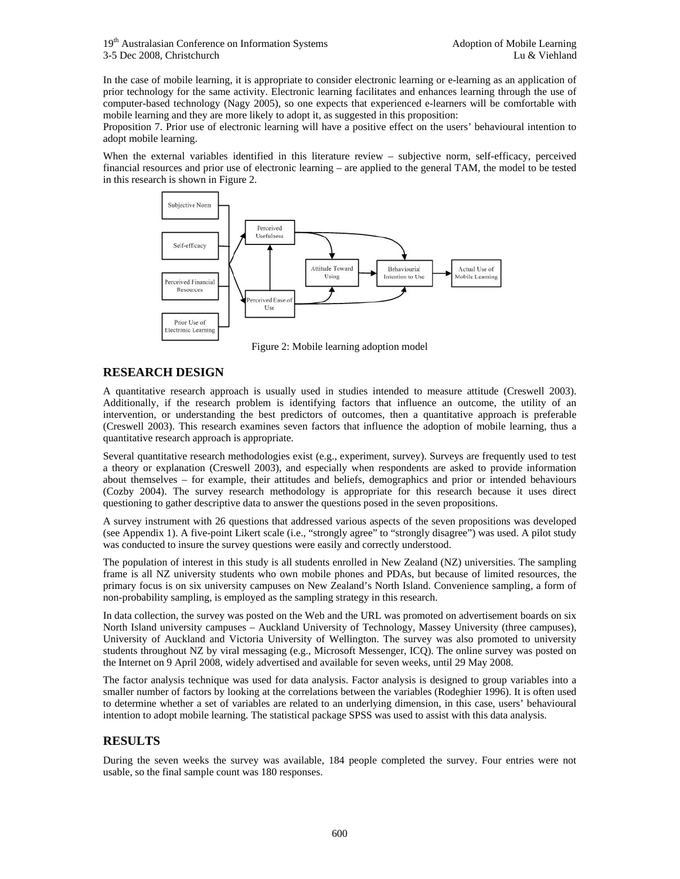In the case of mobile learning, it is appropriate to consider electronic learning or e-learning as an application of prior technology for the same activity. Electronic learning facilitates and enhances learning through the use of computer-based technology (Nagy 2005), so one expects that experienced e-learners will be comfortable with mobile learning and they are more likely to adopt it, as suggested in this proposition:

Proposition 7. Prior use of electronic learning will have a positive effect on the users' behavioural intention to adopt mobile learning.

When the external variables identified in this literature review – subjective norm, self-efficacy, perceived financial resources and prior use of electronic learning – are applied to the general TAM, the model to be tested in this research is shown in Figure 2.



Figure 2: Mobile learning adoption model

# **RESEARCH DESIGN**

A quantitative research approach is usually used in studies intended to measure attitude (Creswell 2003). Additionally, if the research problem is identifying factors that influence an outcome, the utility of an intervention, or understanding the best predictors of outcomes, then a quantitative approach is preferable (Creswell 2003). This research examines seven factors that influence the adoption of mobile learning, thus a quantitative research approach is appropriate.

Several quantitative research methodologies exist (e.g., experiment, survey). Surveys are frequently used to test a theory or explanation (Creswell 2003), and especially when respondents are asked to provide information about themselves – for example, their attitudes and beliefs, demographics and prior or intended behaviours (Cozby 2004). The survey research methodology is appropriate for this research because it uses direct questioning to gather descriptive data to answer the questions posed in the seven propositions.

A survey instrument with 26 questions that addressed various aspects of the seven propositions was developed (see Appendix 1). A five-point Likert scale (i.e., "strongly agree" to "strongly disagree") was used. A pilot study was conducted to insure the survey questions were easily and correctly understood.

The population of interest in this study is all students enrolled in New Zealand (NZ) universities. The sampling frame is all NZ university students who own mobile phones and PDAs, but because of limited resources, the primary focus is on six university campuses on New Zealand's North Island. Convenience sampling, a form of non-probability sampling, is employed as the sampling strategy in this research.

In data collection, the survey was posted on the Web and the URL was promoted on advertisement boards on six North Island university campuses – Auckland University of Technology, Massey University (three campuses), University of Auckland and Victoria University of Wellington. The survey was also promoted to university students throughout NZ by viral messaging (e.g., Microsoft Messenger, ICQ). The online survey was posted on the Internet on 9 April 2008, widely advertised and available for seven weeks, until 29 May 2008.

The factor analysis technique was used for data analysis. Factor analysis is designed to group variables into a smaller number of factors by looking at the correlations between the variables (Rodeghier 1996). It is often used to determine whether a set of variables are related to an underlying dimension, in this case, users' behavioural intention to adopt mobile learning. The statistical package SPSS was used to assist with this data analysis.

# **RESULTS**

During the seven weeks the survey was available, 184 people completed the survey. Four entries were not usable, so the final sample count was 180 responses.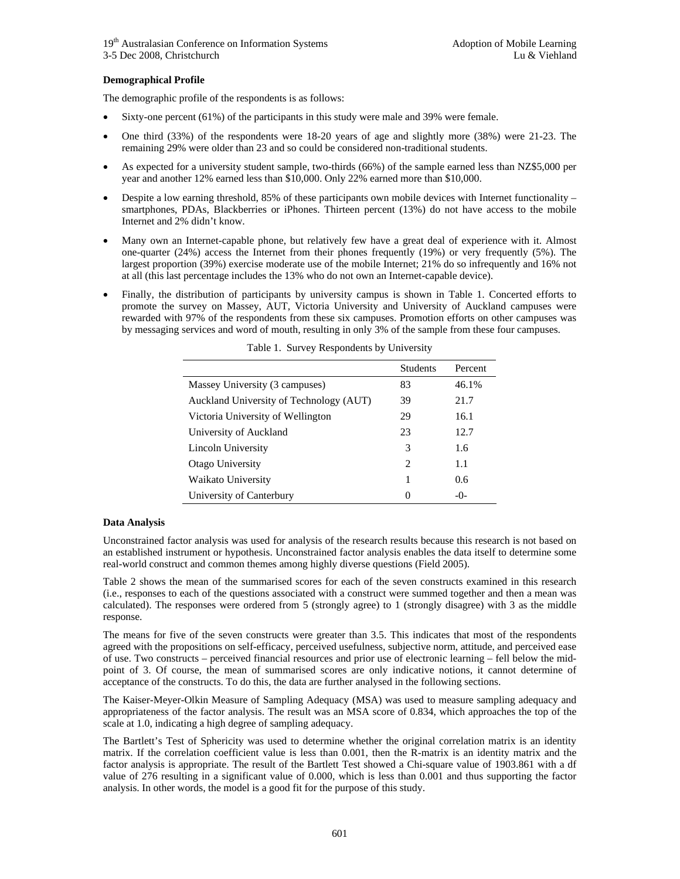#### **Demographical Profile**

The demographic profile of the respondents is as follows:

- Sixty-one percent (61%) of the participants in this study were male and 39% were female.
- One third (33%) of the respondents were 18-20 years of age and slightly more (38%) were 21-23. The remaining 29% were older than 23 and so could be considered non-traditional students.
- As expected for a university student sample, two-thirds (66%) of the sample earned less than NZ\$5,000 per year and another 12% earned less than \$10,000. Only 22% earned more than \$10,000.
- Despite a low earning threshold, 85% of these participants own mobile devices with Internet functionality smartphones, PDAs, Blackberries or iPhones. Thirteen percent (13%) do not have access to the mobile Internet and 2% didn't know.
- Many own an Internet-capable phone, but relatively few have a great deal of experience with it. Almost one-quarter (24%) access the Internet from their phones frequently (19%) or very frequently (5%). The largest proportion (39%) exercise moderate use of the mobile Internet; 21% do so infrequently and 16% not at all (this last percentage includes the 13% who do not own an Internet-capable device).
- Finally, the distribution of participants by university campus is shown in Table 1. Concerted efforts to promote the survey on Massey, AUT, Victoria University and University of Auckland campuses were rewarded with 97% of the respondents from these six campuses. Promotion efforts on other campuses was by messaging services and word of mouth, resulting in only 3% of the sample from these four campuses.

|                                         | <b>Students</b>             | Percent |
|-----------------------------------------|-----------------------------|---------|
| Massey University (3 campuses)          | 83                          | 46.1%   |
| Auckland University of Technology (AUT) | 39                          | 21.7    |
| Victoria University of Wellington       | 29                          | 16.1    |
| University of Auckland                  | 23                          | 12.7    |
| Lincoln University                      | 3                           | 1.6     |
| Otago University                        | $\mathcal{D}_{\mathcal{A}}$ | 1.1     |
| Waikato University                      |                             | 0.6     |
| University of Canterbury                | $\mathbf{\Omega}$           | $-()$ - |

Table 1. Survey Respondents by University

#### **Data Analysis**

Unconstrained factor analysis was used for analysis of the research results because this research is not based on an established instrument or hypothesis. Unconstrained factor analysis enables the data itself to determine some real-world construct and common themes among highly diverse questions (Field 2005).

Table 2 shows the mean of the summarised scores for each of the seven constructs examined in this research (i.e., responses to each of the questions associated with a construct were summed together and then a mean was calculated). The responses were ordered from 5 (strongly agree) to 1 (strongly disagree) with 3 as the middle response.

The means for five of the seven constructs were greater than 3.5. This indicates that most of the respondents agreed with the propositions on self-efficacy, perceived usefulness, subjective norm, attitude, and perceived ease of use. Two constructs – perceived financial resources and prior use of electronic learning – fell below the midpoint of 3. Of course, the mean of summarised scores are only indicative notions, it cannot determine of acceptance of the constructs. To do this, the data are further analysed in the following sections.

The Kaiser-Meyer-Olkin Measure of Sampling Adequacy (MSA) was used to measure sampling adequacy and appropriateness of the factor analysis. The result was an MSA score of 0.834, which approaches the top of the scale at 1.0, indicating a high degree of sampling adequacy.

The Bartlett's Test of Sphericity was used to determine whether the original correlation matrix is an identity matrix. If the correlation coefficient value is less than 0.001, then the R-matrix is an identity matrix and the factor analysis is appropriate. The result of the Bartlett Test showed a Chi-square value of 1903.861 with a df value of 276 resulting in a significant value of 0.000, which is less than 0.001 and thus supporting the factor analysis. In other words, the model is a good fit for the purpose of this study.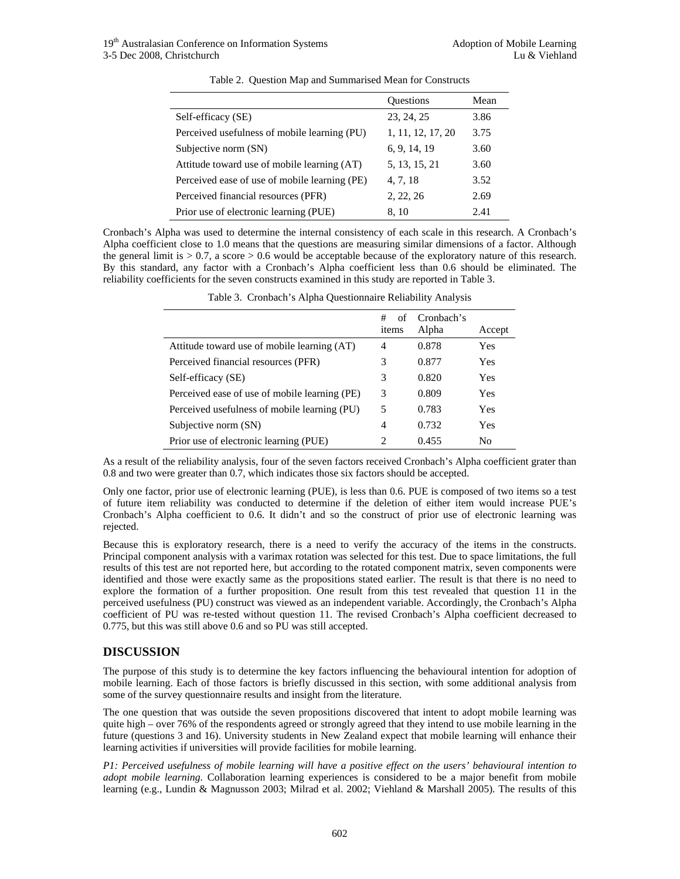|                                               | Questions         | Mean |
|-----------------------------------------------|-------------------|------|
| Self-efficacy (SE)                            | 23, 24, 25        | 3.86 |
| Perceived usefulness of mobile learning (PU)  | 1, 11, 12, 17, 20 | 3.75 |
| Subjective norm (SN)                          | 6, 9, 14, 19      | 3.60 |
| Attitude toward use of mobile learning (AT)   | 5, 13, 15, 21     | 3.60 |
| Perceived ease of use of mobile learning (PE) | 4, 7, 18          | 3.52 |
| Perceived financial resources (PFR)           | 2, 22, 26         | 2.69 |
| Prior use of electronic learning (PUE)        | 8, 10             | 2.41 |

Table 2. Question Map and Summarised Mean for Constructs

Cronbach's Alpha was used to determine the internal consistency of each scale in this research. A Cronbach's Alpha coefficient close to 1.0 means that the questions are measuring similar dimensions of a factor. Although the general limit is > 0.7, a score > 0.6 would be acceptable because of the exploratory nature of this research. By this standard, any factor with a Cronbach's Alpha coefficient less than 0.6 should be eliminated. The reliability coefficients for the seven constructs examined in this study are reported in Table 3.

|                                               | #<br>of<br>items | Cronbach's<br>Alpha | Accept         |
|-----------------------------------------------|------------------|---------------------|----------------|
| Attitude toward use of mobile learning (AT)   | 4                | 0.878               | Yes            |
| Perceived financial resources (PFR)           | 3                | 0.877               | Yes            |
| Self-efficacy (SE)                            | 3                | 0.820               | Yes            |
| Perceived ease of use of mobile learning (PE) | 3                | 0.809               | <b>Yes</b>     |
| Perceived usefulness of mobile learning (PU)  | 5                | 0.783               | <b>Yes</b>     |
| Subjective norm (SN)                          | 4                | 0.732               | Yes            |
| Prior use of electronic learning (PUE)        | $\mathcal{D}$    | 0.455               | N <sub>0</sub> |

Table 3. Cronbach's Alpha Questionnaire Reliability Analysis

As a result of the reliability analysis, four of the seven factors received Cronbach's Alpha coefficient grater than 0.8 and two were greater than 0.7, which indicates those six factors should be accepted.

Only one factor, prior use of electronic learning (PUE), is less than 0.6. PUE is composed of two items so a test of future item reliability was conducted to determine if the deletion of either item would increase PUE's Cronbach's Alpha coefficient to 0.6. It didn't and so the construct of prior use of electronic learning was rejected.

Because this is exploratory research, there is a need to verify the accuracy of the items in the constructs. Principal component analysis with a varimax rotation was selected for this test. Due to space limitations, the full results of this test are not reported here, but according to the rotated component matrix, seven components were identified and those were exactly same as the propositions stated earlier. The result is that there is no need to explore the formation of a further proposition. One result from this test revealed that question 11 in the perceived usefulness (PU) construct was viewed as an independent variable. Accordingly, the Cronbach's Alpha coefficient of PU was re-tested without question 11. The revised Cronbach's Alpha coefficient decreased to 0.775, but this was still above 0.6 and so PU was still accepted.

## **DISCUSSION**

The purpose of this study is to determine the key factors influencing the behavioural intention for adoption of mobile learning. Each of those factors is briefly discussed in this section, with some additional analysis from some of the survey questionnaire results and insight from the literature.

The one question that was outside the seven propositions discovered that intent to adopt mobile learning was quite high – over 76% of the respondents agreed or strongly agreed that they intend to use mobile learning in the future (questions 3 and 16). University students in New Zealand expect that mobile learning will enhance their learning activities if universities will provide facilities for mobile learning.

*P1: Perceived usefulness of mobile learning will have a positive effect on the users' behavioural intention to adopt mobile learning*. Collaboration learning experiences is considered to be a major benefit from mobile learning (e.g., Lundin & Magnusson 2003; Milrad et al. 2002; Viehland & Marshall 2005). The results of this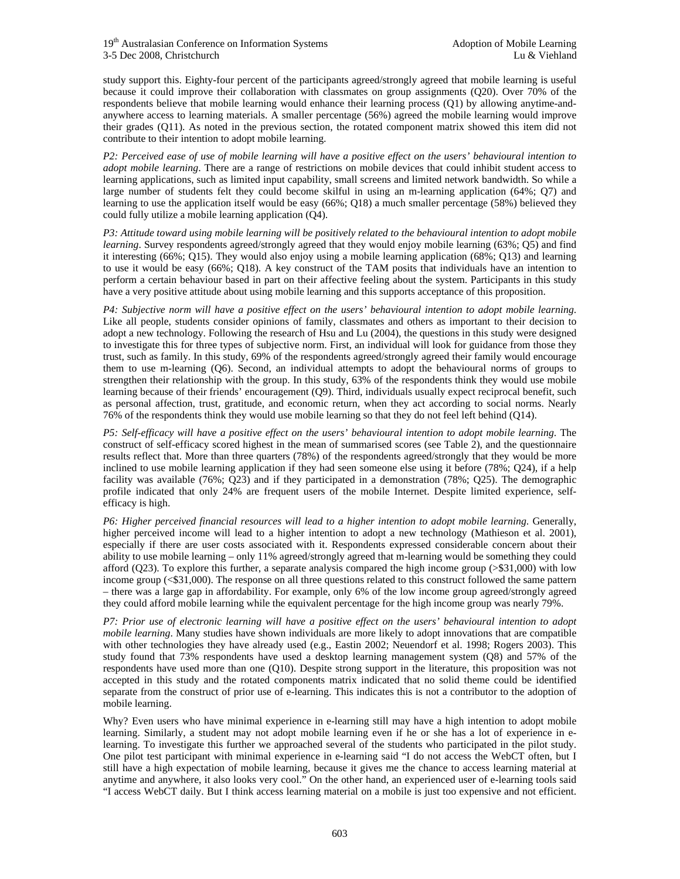study support this. Eighty-four percent of the participants agreed/strongly agreed that mobile learning is useful because it could improve their collaboration with classmates on group assignments (Q20). Over 70% of the respondents believe that mobile learning would enhance their learning process (Q1) by allowing anytime-andanywhere access to learning materials. A smaller percentage (56%) agreed the mobile learning would improve their grades (Q11). As noted in the previous section, the rotated component matrix showed this item did not contribute to their intention to adopt mobile learning.

*P2: Perceived ease of use of mobile learning will have a positive effect on the users' behavioural intention to adopt mobile learning*. There are a range of restrictions on mobile devices that could inhibit student access to learning applications, such as limited input capability, small screens and limited network bandwidth. So while a large number of students felt they could become skilful in using an m-learning application (64%; Q7) and learning to use the application itself would be easy (66%; Q18) a much smaller percentage (58%) believed they could fully utilize a mobile learning application (Q4).

*P3: Attitude toward using mobile learning will be positively related to the behavioural intention to adopt mobile learning*. Survey respondents agreed/strongly agreed that they would enjoy mobile learning (63%; Q5) and find it interesting (66%; Q15). They would also enjoy using a mobile learning application (68%; Q13) and learning to use it would be easy (66%; Q18). A key construct of the TAM posits that individuals have an intention to perform a certain behaviour based in part on their affective feeling about the system. Participants in this study have a very positive attitude about using mobile learning and this supports acceptance of this proposition.

*P4: Subjective norm will have a positive effect on the users' behavioural intention to adopt mobile learning*. Like all people, students consider opinions of family, classmates and others as important to their decision to adopt a new technology. Following the research of Hsu and Lu (2004), the questions in this study were designed to investigate this for three types of subjective norm. First, an individual will look for guidance from those they trust, such as family. In this study, 69% of the respondents agreed/strongly agreed their family would encourage them to use m-learning (Q6). Second, an individual attempts to adopt the behavioural norms of groups to strengthen their relationship with the group. In this study, 63% of the respondents think they would use mobile learning because of their friends' encouragement (Q9). Third, individuals usually expect reciprocal benefit, such as personal affection, trust, gratitude, and economic return, when they act according to social norms. Nearly 76% of the respondents think they would use mobile learning so that they do not feel left behind (Q14).

*P5: Self-efficacy will have a positive effect on the users' behavioural intention to adopt mobile learning*. The construct of self-efficacy scored highest in the mean of summarised scores (see Table 2), and the questionnaire results reflect that. More than three quarters (78%) of the respondents agreed/strongly that they would be more inclined to use mobile learning application if they had seen someone else using it before (78%; Q24), if a help facility was available (76%; Q23) and if they participated in a demonstration (78%; Q25). The demographic profile indicated that only 24% are frequent users of the mobile Internet. Despite limited experience, selfefficacy is high.

*P6: Higher perceived financial resources will lead to a higher intention to adopt mobile learning*. Generally, higher perceived income will lead to a higher intention to adopt a new technology (Mathieson et al. 2001), especially if there are user costs associated with it. Respondents expressed considerable concern about their ability to use mobile learning – only 11% agreed/strongly agreed that m-learning would be something they could afford  $(Q23)$ . To explore this further, a separate analysis compared the high income group ( $>$ \$31,000) with low income group (<\$31,000). The response on all three questions related to this construct followed the same pattern – there was a large gap in affordability. For example, only 6% of the low income group agreed/strongly agreed they could afford mobile learning while the equivalent percentage for the high income group was nearly 79%.

*P7: Prior use of electronic learning will have a positive effect on the users' behavioural intention to adopt mobile learning*. Many studies have shown individuals are more likely to adopt innovations that are compatible with other technologies they have already used (e.g., Eastin 2002; Neuendorf et al. 1998; Rogers 2003). This study found that 73% respondents have used a desktop learning management system (Q8) and 57% of the respondents have used more than one (Q10). Despite strong support in the literature, this proposition was not accepted in this study and the rotated components matrix indicated that no solid theme could be identified separate from the construct of prior use of e-learning. This indicates this is not a contributor to the adoption of mobile learning.

Why? Even users who have minimal experience in e-learning still may have a high intention to adopt mobile learning. Similarly, a student may not adopt mobile learning even if he or she has a lot of experience in elearning. To investigate this further we approached several of the students who participated in the pilot study. One pilot test participant with minimal experience in e-learning said "I do not access the WebCT often, but I still have a high expectation of mobile learning, because it gives me the chance to access learning material at anytime and anywhere, it also looks very cool." On the other hand, an experienced user of e-learning tools said "I access WebCT daily. But I think access learning material on a mobile is just too expensive and not efficient.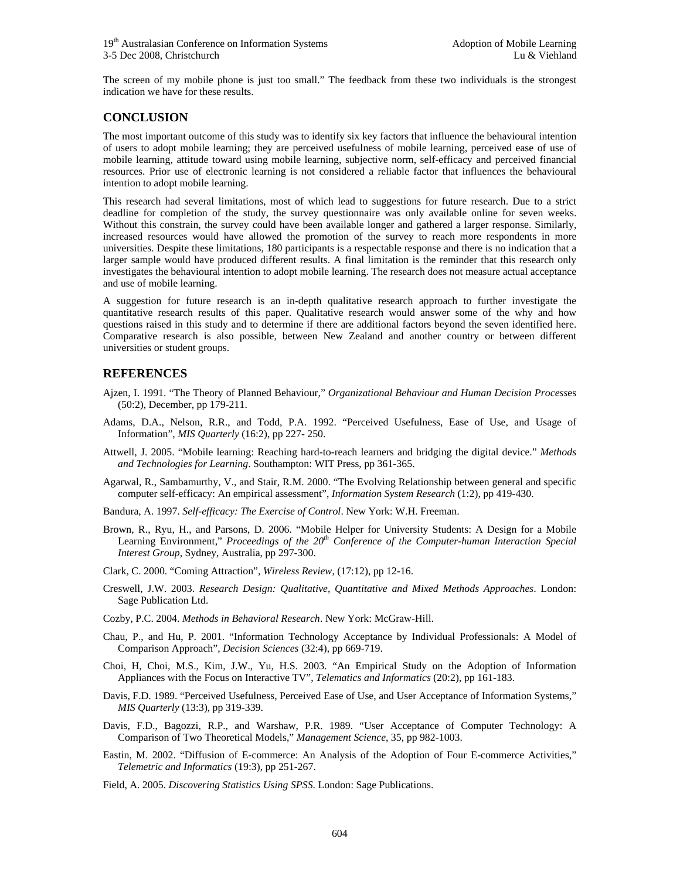The screen of my mobile phone is just too small." The feedback from these two individuals is the strongest indication we have for these results.

#### **CONCLUSION**

The most important outcome of this study was to identify six key factors that influence the behavioural intention of users to adopt mobile learning; they are perceived usefulness of mobile learning, perceived ease of use of mobile learning, attitude toward using mobile learning, subjective norm, self-efficacy and perceived financial resources. Prior use of electronic learning is not considered a reliable factor that influences the behavioural intention to adopt mobile learning.

This research had several limitations, most of which lead to suggestions for future research. Due to a strict deadline for completion of the study, the survey questionnaire was only available online for seven weeks. Without this constrain, the survey could have been available longer and gathered a larger response. Similarly, increased resources would have allowed the promotion of the survey to reach more respondents in more universities. Despite these limitations, 180 participants is a respectable response and there is no indication that a larger sample would have produced different results. A final limitation is the reminder that this research only investigates the behavioural intention to adopt mobile learning. The research does not measure actual acceptance and use of mobile learning.

A suggestion for future research is an in-depth qualitative research approach to further investigate the quantitative research results of this paper. Qualitative research would answer some of the why and how questions raised in this study and to determine if there are additional factors beyond the seven identified here. Comparative research is also possible, between New Zealand and another country or between different universities or student groups.

#### **REFERENCES**

- Ajzen, I. 1991. "The Theory of Planned Behaviour," *Organizational Behaviour and Human Decision Process*es (50:2), December, pp 179-211.
- Adams, D.A., Nelson, R.R., and Todd, P.A. 1992. "Perceived Usefulness, Ease of Use, and Usage of Information", *MIS Quarterly* (16:2), pp 227- 250.
- Attwell, J. 2005. "Mobile learning: Reaching hard-to-reach learners and bridging the digital device." *Methods and Technologies for Learning*. Southampton: WIT Press, pp 361-365.
- Agarwal, R., Sambamurthy, V., and Stair, R.M. 2000. "The Evolving Relationship between general and specific computer self-efficacy: An empirical assessment", *Information System Research* (1:2), pp 419-430.
- Bandura, A. 1997. *Self-efficacy: The Exercise of Control*. New York: W.H. Freeman.
- Brown, R., Ryu, H., and Parsons, D. 2006. "Mobile Helper for University Students: A Design for a Mobile Learning Environment," *Proceedings of the 20th Conference of the Computer-human Interaction Special Interest Group*, Sydney, Australia, pp 297-300.
- Clark, C. 2000. "Coming Attraction", *Wireless Review*, (17:12), pp 12-16.
- Creswell, J.W. 2003. *Research Design: Qualitative, Quantitative and Mixed Methods Approaches*. London: Sage Publication Ltd.
- Cozby, P.C. 2004. *Methods in Behavioral Research*. New York: McGraw-Hill.
- Chau, P., and Hu, P. 2001. "Information Technology Acceptance by Individual Professionals: A Model of Comparison Approach", *Decision Sciences* (32:4), pp 669-719.
- Choi, H, Choi, M.S., Kim, J.W., Yu, H.S. 2003. "An Empirical Study on the Adoption of Information Appliances with the Focus on Interactive TV", *Telematics and Informatics* (20:2), pp 161-183.
- Davis, F.D. 1989. "Perceived Usefulness, Perceived Ease of Use, and User Acceptance of Information Systems," *MIS Quarterly* (13:3), pp 319-339.
- Davis, F.D., Bagozzi, R.P., and Warshaw, P.R. 1989. "User Acceptance of Computer Technology: A Comparison of Two Theoretical Models," *Management Science*, 35, pp 982-1003.
- Eastin, M. 2002. "Diffusion of E-commerce: An Analysis of the Adoption of Four E-commerce Activities," *Telemetric and Informatics* (19:3), pp 251-267.
- Field, A. 2005. *Discovering Statistics Using SPSS*. London: Sage Publications.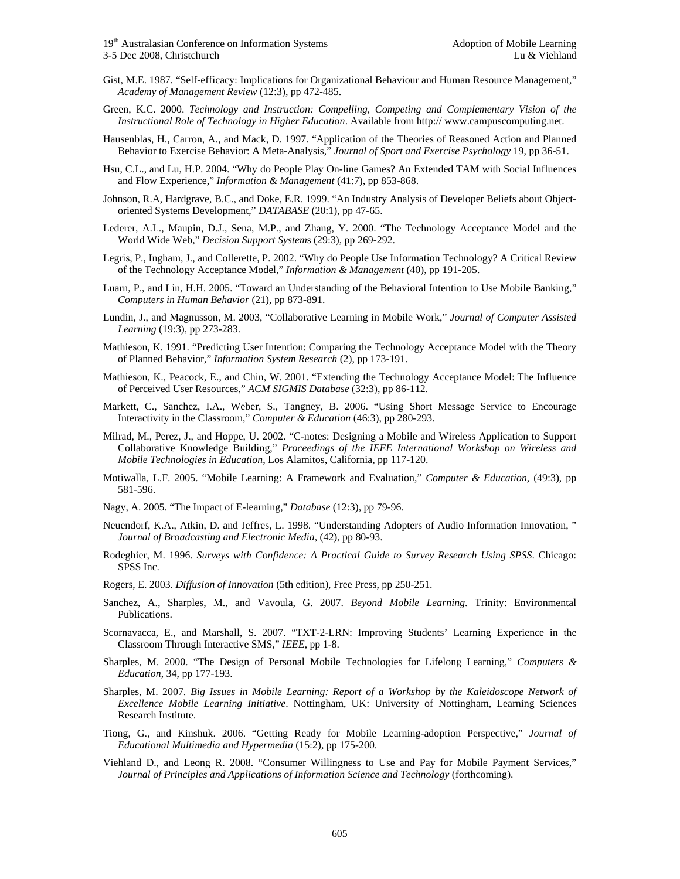- Gist, M.E. 1987. "Self-efficacy: Implications for Organizational Behaviour and Human Resource Management," *Academy of Management Review* (12:3), pp 472-485.
- Green, K.C. 2000. *Technology and Instruction: Compelling, Competing and Complementary Vision of the Instructional Role of Technology in Higher Education*. Available from http:// www.campuscomputing.net.
- Hausenblas, H., Carron, A., and Mack, D. 1997. "Application of the Theories of Reasoned Action and Planned Behavior to Exercise Behavior: A Meta-Analysis," *Journal of Sport and Exercise Psychology* 19, pp 36-51.
- Hsu, C.L., and Lu, H.P. 2004. "Why do People Play On-line Games? An Extended TAM with Social Influences and Flow Experience," *Information & Management* (41:7), pp 853-868.
- Johnson, R.A, Hardgrave, B.C., and Doke, E.R. 1999. "An Industry Analysis of Developer Beliefs about Objectoriented Systems Development," *DATABASE* (20:1), pp 47-65.
- Lederer, A.L., Maupin, D.J., Sena, M.P., and Zhang, Y. 2000. "The Technology Acceptance Model and the World Wide Web," *Decision Support System*s (29:3), pp 269-292.
- Legris, P., Ingham, J., and Collerette, P. 2002. "Why do People Use Information Technology? A Critical Review of the Technology Acceptance Model," *Information & Management* (40), pp 191-205.
- Luarn, P., and Lin, H.H. 2005. "Toward an Understanding of the Behavioral Intention to Use Mobile Banking," *Computers in Human Behavior* (21), pp 873-891.
- Lundin, J., and Magnusson, M. 2003, "Collaborative Learning in Mobile Work," *Journal of Computer Assisted Learning* (19:3), pp 273-283.
- Mathieson, K. 1991. "Predicting User Intention: Comparing the Technology Acceptance Model with the Theory of Planned Behavior," *Information System Research* (2), pp 173-191.
- Mathieson, K., Peacock, E., and Chin, W. 2001. "Extending the Technology Acceptance Model: The Influence of Perceived User Resources," *ACM SIGMIS Database* (32:3), pp 86-112.
- Markett, C., Sanchez, I.A., Weber, S., Tangney, B. 2006. "Using Short Message Service to Encourage Interactivity in the Classroom," *Computer & Education* (46:3), pp 280-293.
- Milrad, M., Perez, J., and Hoppe, U. 2002. "C-notes: Designing a Mobile and Wireless Application to Support Collaborative Knowledge Building," *Proceedings of the IEEE International Workshop on Wireless and Mobile Technologies in Education*, Los Alamitos, California, pp 117-120.
- Motiwalla, L.F. 2005. "Mobile Learning: A Framework and Evaluation," *Computer & Education*, (49:3), pp 581-596.
- Nagy, A. 2005. "The Impact of E-learning," *Database* (12:3), pp 79-96.
- Neuendorf, K.A., Atkin, D. and Jeffres, L. 1998. "Understanding Adopters of Audio Information Innovation, " *Journal of Broadcasting and Electronic Media*, (42), pp 80-93.
- Rodeghier, M. 1996. *Surveys with Confidence: A Practical Guide to Survey Research Using SPSS*. Chicago: SPSS Inc.
- Rogers, E. 2003. *Diffusion of Innovation* (5th edition), Free Press, pp 250-251.
- Sanchez, A., Sharples, M., and Vavoula, G. 2007. *Beyond Mobile Learning*. Trinity: Environmental Publications.
- Scornavacca, E., and Marshall, S. 2007. "TXT-2-LRN: Improving Students' Learning Experience in the Classroom Through Interactive SMS," *IEEE*, pp 1-8.
- Sharples, M. 2000. "The Design of Personal Mobile Technologies for Lifelong Learning," *Computers & Education*, 34, pp 177-193.
- Sharples, M. 2007. *Big Issues in Mobile Learning: Report of a Workshop by the Kaleidoscope Network of Excellence Mobile Learning Initiative*. Nottingham, UK: University of Nottingham, Learning Sciences Research Institute.
- Tiong, G., and Kinshuk. 2006. "Getting Ready for Mobile Learning-adoption Perspective," *Journal of Educational Multimedia and Hypermedia* (15:2), pp 175-200.
- Viehland D., and Leong R. 2008. "Consumer Willingness to Use and Pay for Mobile Payment Services," *Journal of Principles and Applications of Information Science and Technology* (forthcoming).